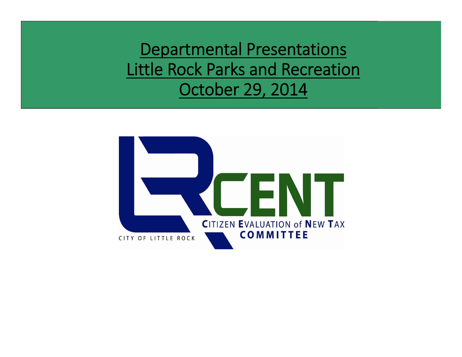Departmental Presentations Little Rock Parks and Recreation October 29, 2014

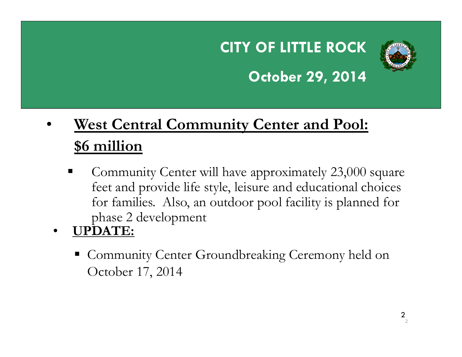## **CITY OF LITTLE ROCK**



### **October 29, 2014**

#### • **West Central Community Center and Pool: \$6 million**

- ٠ Community Center will have approximately 23,000 square feet and provide life style, leisure and educational choices for families. Also, an outdoor pool facility is planned for phase 2 development
- • **UPDATE:**
	- Community Center Groundbreaking Ceremony held on October 17, 2014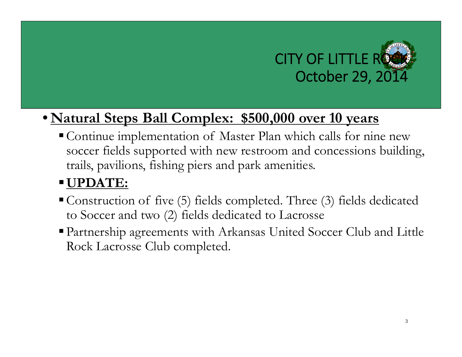

#### • **Natural Steps Ball Complex: \$500,000 over 10 years**

Continue implementation of Master Plan which calls for nine new soccer fields supported with new restroom and concessions building, trails, pavilions, fishing piers and park amenities.

#### **UPDATE:**

- Construction of five (5) fields completed. Three (3) fields dedicated to Soccer and two (2) fields dedicated to Lacrosse
- Partnership agreements with Arkansas United Soccer Club and Little Rock Lacrosse Club completed.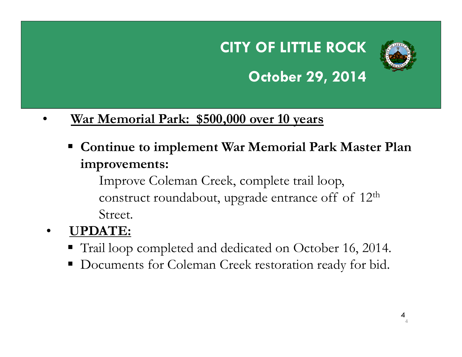### **CITY OF LITTLE ROCK October 29, 2014**



#### •**War Memorial Park: \$500,000 over 10 years**

 **Continue to implement War Memorial Park Master Plan improvements:** 

Improve Coleman Creek, complete trail loop, construct roundabout, upgrade entrance off of 12<sup>th</sup> Street.

- • **UPDATE:**
	- Trail loop completed and dedicated on October 16, 2014.
	- Documents for Coleman Creek restoration ready for bid.